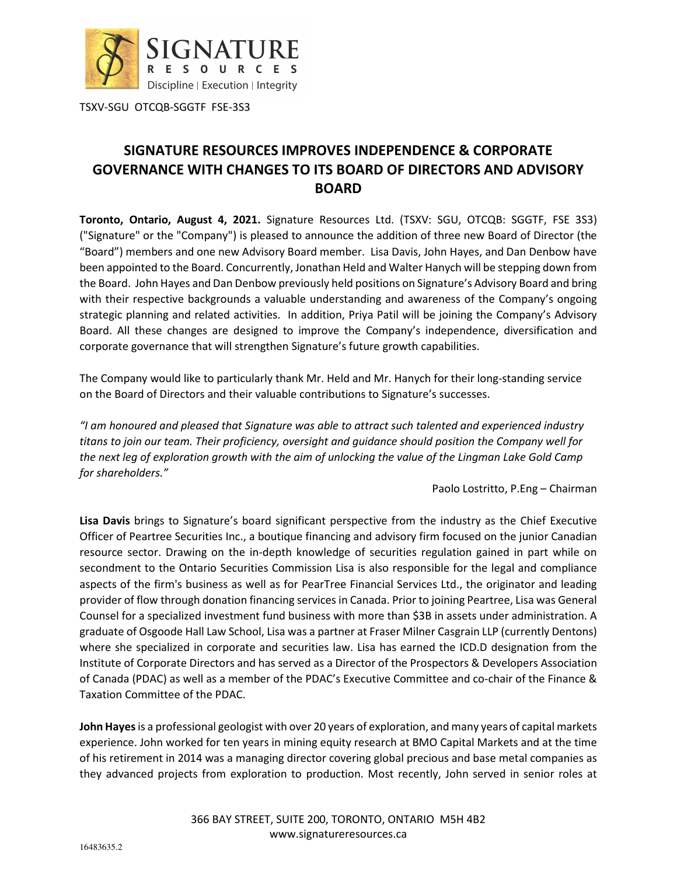

TSXV-SGU OTCQB-SGGTF FSE-3S3

# **SIGNATURE RESOURCES IMPROVES INDEPENDENCE & CORPORATE GOVERNANCE WITH CHANGES TO ITS BOARD OF DIRECTORS AND ADVISORY BOARD**

**Toronto, Ontario, August 4, 2021.** Signature Resources Ltd. (TSXV: SGU, OTCQB: SGGTF, FSE 3S3) ("Signature" or the "Company") is pleased to announce the addition of three new Board of Director (the "Board") members and one new Advisory Board member. Lisa Davis, John Hayes, and Dan Denbow have been appointed to the Board. Concurrently, Jonathan Held and Walter Hanych will be stepping down from the Board. John Hayes and Dan Denbow previously held positions on Signature's Advisory Board and bring with their respective backgrounds a valuable understanding and awareness of the Company's ongoing strategic planning and related activities. In addition, Priya Patil will be joining the Company's Advisory Board. All these changes are designed to improve the Company's independence, diversification and corporate governance that will strengthen Signature's future growth capabilities.

The Company would like to particularly thank Mr. Held and Mr. Hanych for their long-standing service on the Board of Directors and their valuable contributions to Signature's successes.

*"I am honoured and pleased that Signature was able to attract such talented and experienced industry titans to join our team. Their proficiency, oversight and guidance should position the Company well for the next leg of exploration growth with the aim of unlocking the value of the Lingman Lake Gold Camp for shareholders."* 

Paolo Lostritto, P.Eng – Chairman

**Lisa Davis** brings to Signature's board significant perspective from the industry as the Chief Executive Officer of Peartree Securities Inc., a boutique financing and advisory firm focused on the junior Canadian resource sector. Drawing on the in-depth knowledge of securities regulation gained in part while on secondment to the Ontario Securities Commission Lisa is also responsible for the legal and compliance aspects of the firm's business as well as for PearTree Financial Services Ltd., the originator and leading provider of flow through donation financing services in Canada. Prior to joining Peartree, Lisa was General Counsel for a specialized investment fund business with more than \$3B in assets under administration. A graduate of Osgoode Hall Law School, Lisa was a partner at Fraser Milner Casgrain LLP (currently Dentons) where she specialized in corporate and securities law. Lisa has earned the ICD.D designation from the Institute of Corporate Directors and has served as a Director of the Prospectors & Developers Association of Canada (PDAC) as well as a member of the PDAC's Executive Committee and co-chair of the Finance & Taxation Committee of the PDAC.

**John Hayes** is a professional geologist with over 20 years of exploration, and many years of capital markets experience. John worked for ten years in mining equity research at BMO Capital Markets and at the time of his retirement in 2014 was a managing director covering global precious and base metal companies as they advanced projects from exploration to production. Most recently, John served in senior roles at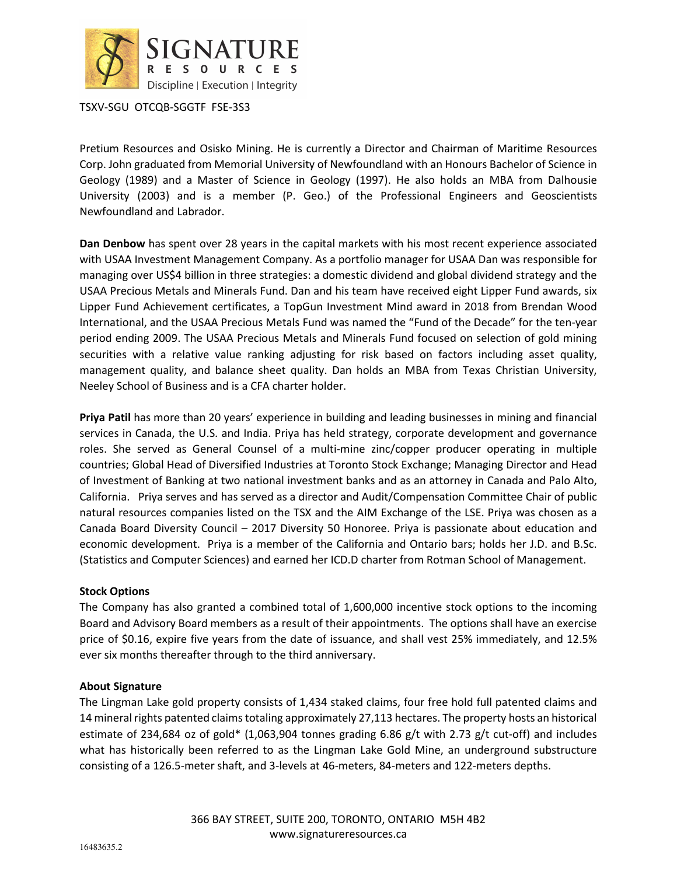

TSXV-SGU OTCQB-SGGTF FSE-3S3

Pretium Resources and Osisko Mining. He is currently a Director and Chairman of Maritime Resources Corp. John graduated from Memorial University of Newfoundland with an Honours Bachelor of Science in Geology (1989) and a Master of Science in Geology (1997). He also holds an MBA from Dalhousie University (2003) and is a member (P. Geo.) of the Professional Engineers and Geoscientists Newfoundland and Labrador.

**Dan Denbow** has spent over 28 years in the capital markets with his most recent experience associated with USAA Investment Management Company. As a portfolio manager for USAA Dan was responsible for managing over US\$4 billion in three strategies: a domestic dividend and global dividend strategy and the USAA Precious Metals and Minerals Fund. Dan and his team have received eight Lipper Fund awards, six Lipper Fund Achievement certificates, a TopGun Investment Mind award in 2018 from Brendan Wood International, and the USAA Precious Metals Fund was named the "Fund of the Decade" for the ten-year period ending 2009. The USAA Precious Metals and Minerals Fund focused on selection of gold mining securities with a relative value ranking adjusting for risk based on factors including asset quality, management quality, and balance sheet quality. Dan holds an MBA from Texas Christian University, Neeley School of Business and is a CFA charter holder.

**Priya Patil** has more than 20 years' experience in building and leading businesses in mining and financial services in Canada, the U.S. and India. Priya has held strategy, corporate development and governance roles. She served as General Counsel of a multi-mine zinc/copper producer operating in multiple countries; Global Head of Diversified Industries at Toronto Stock Exchange; Managing Director and Head of Investment of Banking at two national investment banks and as an attorney in Canada and Palo Alto, California. Priya serves and has served as a director and Audit/Compensation Committee Chair of public natural resources companies listed on the TSX and the AIM Exchange of the LSE. Priya was chosen as a Canada Board Diversity Council – 2017 Diversity 50 Honoree. Priya is passionate about education and economic development. Priya is a member of the California and Ontario bars; holds her J.D. and B.Sc. (Statistics and Computer Sciences) and earned her ICD.D charter from Rotman School of Management.

## **Stock Options**

The Company has also granted a combined total of 1,600,000 incentive stock options to the incoming Board and Advisory Board members as a result of their appointments. The options shall have an exercise price of \$0.16, expire five years from the date of issuance, and shall vest 25% immediately, and 12.5% ever six months thereafter through to the third anniversary.

## **About Signature**

The Lingman Lake gold property consists of 1,434 staked claims, four free hold full patented claims and 14 mineral rights patented claims totaling approximately 27,113 hectares. The property hosts an historical estimate of 234,684 oz of gold\* (1,063,904 tonnes grading 6.86 g/t with 2.73 g/t cut-off) and includes what has historically been referred to as the Lingman Lake Gold Mine, an underground substructure consisting of a 126.5-meter shaft, and 3-levels at 46-meters, 84-meters and 122-meters depths.